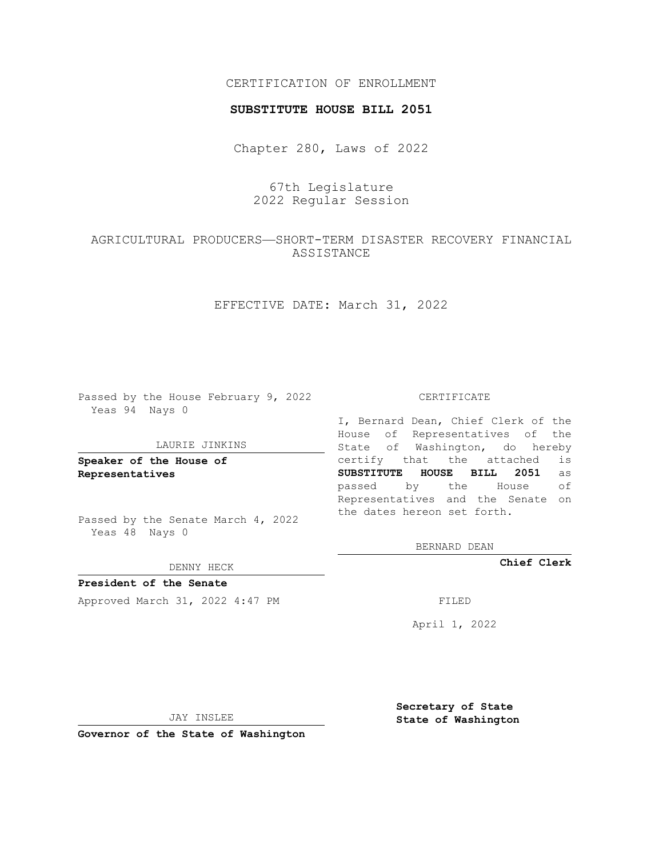## CERTIFICATION OF ENROLLMENT

### **SUBSTITUTE HOUSE BILL 2051**

Chapter 280, Laws of 2022

# 67th Legislature 2022 Regular Session

## AGRICULTURAL PRODUCERS—SHORT-TERM DISASTER RECOVERY FINANCIAL ASSISTANCE

EFFECTIVE DATE: March 31, 2022

Passed by the House February 9, 2022 Yeas 94 Nays 0

#### LAURIE JINKINS

**Speaker of the House of Representatives**

Passed by the Senate March 4, 2022 Yeas 48 Nays 0

#### DENNY HECK

**President of the Senate** Approved March 31, 2022 4:47 PM

CERTIFICATE

I, Bernard Dean, Chief Clerk of the House of Representatives of the State of Washington, do hereby certify that the attached is **SUBSTITUTE HOUSE BILL 2051** as passed by the House of Representatives and the Senate on the dates hereon set forth.

BERNARD DEAN

**Chief Clerk**

April 1, 2022

JAY INSLEE

**Governor of the State of Washington**

**Secretary of State State of Washington**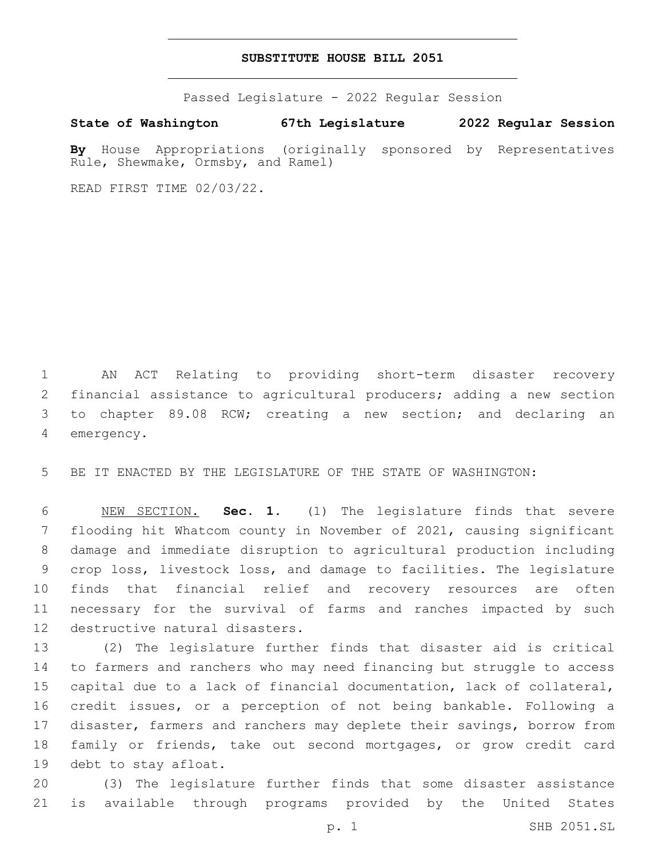### **SUBSTITUTE HOUSE BILL 2051**

Passed Legislature - 2022 Regular Session

**State of Washington 67th Legislature 2022 Regular Session**

**By** House Appropriations (originally sponsored by Representatives Rule, Shewmake, Ormsby, and Ramel)

READ FIRST TIME 02/03/22.

 AN ACT Relating to providing short-term disaster recovery financial assistance to agricultural producers; adding a new section to chapter 89.08 RCW; creating a new section; and declaring an 4 emergency.

BE IT ENACTED BY THE LEGISLATURE OF THE STATE OF WASHINGTON:

 NEW SECTION. **Sec. 1.** (1) The legislature finds that severe flooding hit Whatcom county in November of 2021, causing significant damage and immediate disruption to agricultural production including crop loss, livestock loss, and damage to facilities. The legislature finds that financial relief and recovery resources are often necessary for the survival of farms and ranches impacted by such destructive natural disasters.

 (2) The legislature further finds that disaster aid is critical to farmers and ranchers who may need financing but struggle to access capital due to a lack of financial documentation, lack of collateral, credit issues, or a perception of not being bankable. Following a disaster, farmers and ranchers may deplete their savings, borrow from family or friends, take out second mortgages, or grow credit card 19 debt to stay afloat.

 (3) The legislature further finds that some disaster assistance is available through programs provided by the United States

p. 1 SHB 2051.SL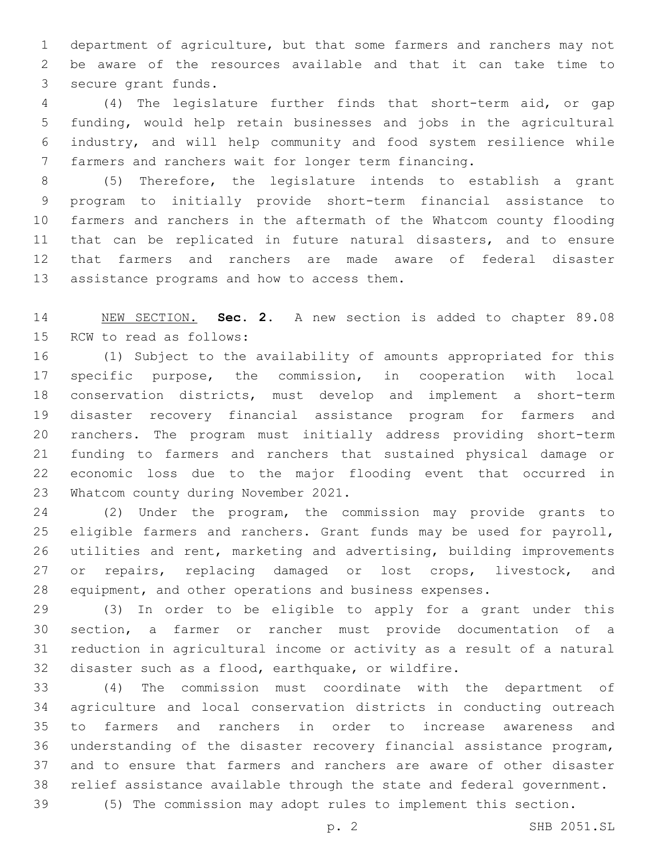department of agriculture, but that some farmers and ranchers may not be aware of the resources available and that it can take time to 3 secure grant funds.

 (4) The legislature further finds that short-term aid, or gap funding, would help retain businesses and jobs in the agricultural industry, and will help community and food system resilience while farmers and ranchers wait for longer term financing.

 (5) Therefore, the legislature intends to establish a grant program to initially provide short-term financial assistance to farmers and ranchers in the aftermath of the Whatcom county flooding that can be replicated in future natural disasters, and to ensure that farmers and ranchers are made aware of federal disaster 13 assistance programs and how to access them.

 NEW SECTION. **Sec. 2.** A new section is added to chapter 89.08 15 RCW to read as follows:

 (1) Subject to the availability of amounts appropriated for this specific purpose, the commission, in cooperation with local conservation districts, must develop and implement a short-term disaster recovery financial assistance program for farmers and ranchers. The program must initially address providing short-term funding to farmers and ranchers that sustained physical damage or economic loss due to the major flooding event that occurred in 23 Whatcom county during November 2021.

 (2) Under the program, the commission may provide grants to 25 eligible farmers and ranchers. Grant funds may be used for payroll, utilities and rent, marketing and advertising, building improvements 27 or repairs, replacing damaged or lost crops, livestock, and equipment, and other operations and business expenses.

 (3) In order to be eligible to apply for a grant under this section, a farmer or rancher must provide documentation of a reduction in agricultural income or activity as a result of a natural disaster such as a flood, earthquake, or wildfire.

 (4) The commission must coordinate with the department of agriculture and local conservation districts in conducting outreach to farmers and ranchers in order to increase awareness and understanding of the disaster recovery financial assistance program, and to ensure that farmers and ranchers are aware of other disaster relief assistance available through the state and federal government.

(5) The commission may adopt rules to implement this section.

p. 2 SHB 2051.SL